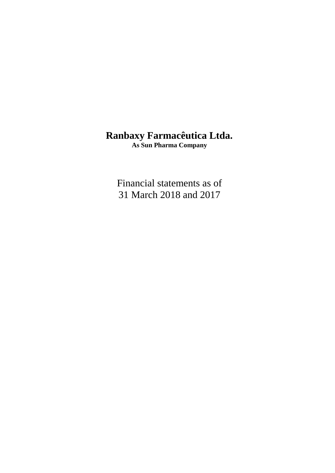## **Ranbaxy Farmacêutica Ltda.**

**As Sun Pharma Company**

Financial statements as of 31 March 2018 and 2017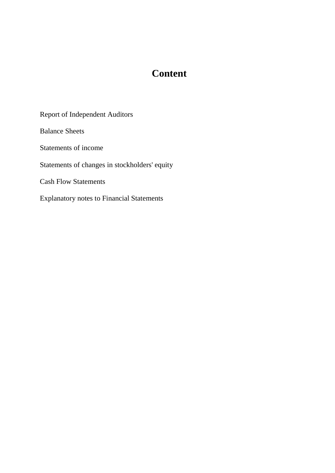## **Content**

Report of Independent Auditors

Balance Sheets

Statements of income

Statements of changes in stockholders' equity

Cash Flow Statements

Explanatory notes to Financial Statements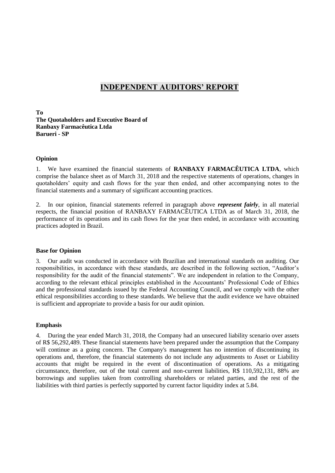## **INDEPENDENT AUDITORS' REPORT**

**To The Quotaholders and Executive Board of Ranbaxy Farmacêutica Ltda Barueri - SP**

#### **Opinion**

1. We have examined the financial statements of **RANBAXY FARMACÊUTICA LTDA**, which comprise the balance sheet as of March 31, 2018 and the respective statements of operations, changes in quotaholders' equity and cash flows for the year then ended, and other accompanying notes to the financial statements and a summary of significant accounting practices.

2. In our opinion, financial statements referred in paragraph above *represent fairly*, in all material respects, the financial position of RANBAXY FARMACÊUTICA LTDA as of March 31, 2018, the performance of its operations and its cash flows for the year then ended, in accordance with accounting practices adopted in Brazil.

#### **Base for Opinion**

3. Our audit was conducted in accordance with Brazilian and international standards on auditing. Our responsibilities, in accordance with these standards, are described in the following section, "Auditor's responsibility for the audit of the financial statements". We are independent in relation to the Company, according to the relevant ethical principles established in the Accountants' Professional Code of Ethics and the professional standards issued by the Federal Accounting Council, and we comply with the other ethical responsibilities according to these standards. We believe that the audit evidence we have obtained is sufficient and appropriate to provide a basis for our audit opinion.

#### **Emphasis**

4. During the year ended March 31, 2018, the Company had an unsecured liability scenario over assets of R\$ 56,292,489. These financial statements have been prepared under the assumption that the Company will continue as a going concern. The Company's management has no intention of discontinuing its operations and, therefore, the financial statements do not include any adjustments to Asset or Liability accounts that might be required in the event of discontinuation of operations. As a mitigating circumstance, therefore, out of the total current and non-current liabilities, R\$ 110,592,131, 88% are borrowings and supplies taken from controlling shareholders or related parties, and the rest of the liabilities with third parties is perfectly supported by current factor liquidity index at 5.84.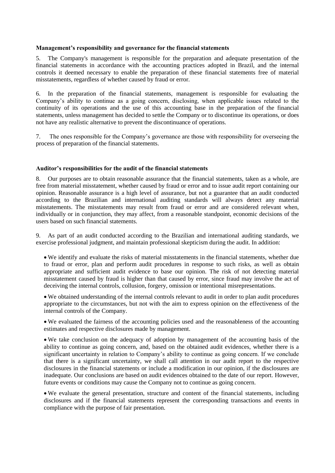#### **Management's responsibility and governance for the financial statements**

5. The Company's management is responsible for the preparation and adequate presentation of the financial statements in accordance with the accounting practices adopted in Brazil, and the internal controls it deemed necessary to enable the preparation of these financial statements free of material misstatements, regardless of whether caused by fraud or error.

6. In the preparation of the financial statements, management is responsible for evaluating the Company's ability to continue as a going concern, disclosing, when applicable issues related to the continuity of its operations and the use of this accounting base in the preparation of the financial statements, unless management has decided to settle the Company or to discontinue its operations, or does not have any realistic alternative to prevent the discontinuance of operations.

7. The ones responsible for the Company's governance are those with responsibility for overseeing the process of preparation of the financial statements.

#### **Auditor's responsibilities for the audit of the financial statements**

8. Our purposes are to obtain reasonable assurance that the financial statements, taken as a whole, are free from material misstatement, whether caused by fraud or error and to issue audit report containing our opinion. Reasonable assurance is a high level of assurance, but not a guarantee that an audit conducted according to the Brazilian and international auditing standards will always detect any material misstatements. The misstatements may result from fraud or error and are considered relevant when, individually or in conjunction, they may affect, from a reasonable standpoint, economic decisions of the users based on such financial statements.

9. As part of an audit conducted according to the Brazilian and international auditing standards, we exercise professional judgment, and maintain professional skepticism during the audit. In addition:

 We identify and evaluate the risks of material misstatements in the financial statements, whether due to fraud or error, plan and perform audit procedures in response to such risks, as well as obtain appropriate and sufficient audit evidence to base our opinion. The risk of not detecting material misstatement caused by fraud is higher than that caused by error, since fraud may involve the act of deceiving the internal controls, collusion, forgery, omission or intentional misrepresentations.

 We obtained understanding of the internal controls relevant to audit in order to plan audit procedures appropriate to the circumstances, but not with the aim to express opinion on the effectiveness of the internal controls of the Company.

 We evaluated the fairness of the accounting policies used and the reasonableness of the accounting estimates and respective disclosures made by management.

 We take conclusion on the adequacy of adoption by management of the accounting basis of the ability to continue as going concern, and, based on the obtained audit evidences, whether there is a significant uncertainty in relation to Company's ability to continue as going concern. If we conclude that there is a significant uncertainty, we shall call attention in our audit report to the respective disclosures in the financial statements or include a modification in our opinion, if the disclosures are inadequate. Our conclusions are based on audit evidences obtained to the date of our report. However, future events or conditions may cause the Company not to continue as going concern.

 We evaluate the general presentation, structure and content of the financial statements, including disclosures and if the financial statements represent the corresponding transactions and events in compliance with the purpose of fair presentation.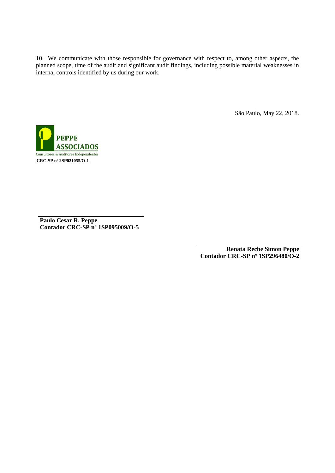10. We communicate with those responsible for governance with respect to, among other aspects, the planned scope, time of the audit and significant audit findings, including possible material weaknesses in internal controls identified by us during our work.

São Paulo, May 22, 2018.



**Paulo Cesar R. Peppe Contador CRC-SP nº 1SP095009/O-5**

> **Renata Reche Simon Peppe Contador CRC-SP nº 1SP296480/O-2**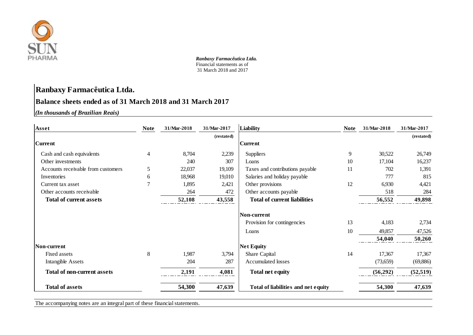

## **Ranbaxy Farmacêutica Ltda.**

## **Balance sheets ended as of 31 March 2018 and 31 March 2017**

*(In thousands of Brazilian Reais)* **1,000**

| Asset                              | <b>Note</b> | 31/Mar-2018 | 31/Mar-2017 | Liability                           | <b>Note</b> | 31/Mar-2018 | 31/Mar-2017 |
|------------------------------------|-------------|-------------|-------------|-------------------------------------|-------------|-------------|-------------|
|                                    |             |             | (restated)  |                                     |             |             | (restated)  |
| <b>Current</b>                     |             |             |             | <b>Current</b>                      |             |             |             |
| Cash and cash equivalents          | 4           | 8,704       | 2,239       | <b>Suppliers</b>                    | 9           | 30,522      | 26,749      |
| Other investments                  |             | 240         | 307         | Loans                               | 10          | 17,104      | 16,237      |
| Accounts receivable from customers | 5           | 22,037      | 19,109      | Taxes and contributions payable     | 11          | 702         | 1,391       |
| Inventories                        | 6           | 18,968      | 19,010      | Salaries and holiday payable        |             | 777         | 815         |
| Current tax asset                  | 7           | 1,895       | 2,421       | Other provisions                    | 12          | 6,930       | 4,421       |
| Other accounts receivable          |             | 264         | 472         | Other accounts payable              |             | 518         | 284         |
| <b>Total of current assets</b>     |             | 52,108      | 43,558      | <b>Total of current liabilities</b> |             | 56,552      | 49,898      |
|                                    |             |             |             | Non-current                         |             |             |             |
|                                    |             |             |             | Provision for contingencies         | 13          | 4,183       | 2,734       |
|                                    |             |             |             | Loans                               | 10          | 49,857      | 47,526      |
|                                    |             |             |             |                                     |             | 54,040      | 50,260      |
| Non-current                        |             |             |             | <b>Net Equity</b>                   |             |             |             |
| Fixed assets                       | 8           | 1,987       | 3,794       | Share Capital                       | 14          | 17,367      | 17,367      |
| <b>Intangible Assets</b>           |             | 204         | 287         | <b>Accumulated losses</b>           |             | (73,659)    | (69,886)    |
| <b>Total of non-current assets</b> |             | 2,191       | 4,081       | <b>Total net equity</b>             |             | (56, 292)   | (52, 519)   |
| <b>Total of assets</b>             |             | 54,300      | 47,639      | Total of liabilities and net equity |             | 54,300      | 47,639      |

The accompanying notes are an integral part of these financial statements.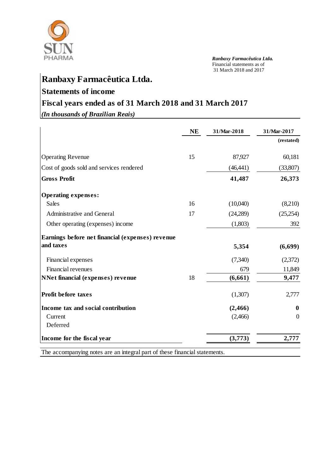

# **Ranbaxy Farmacêutica Ltda.**

## **Statements of income**

## **Fiscal years ended as of 31 March 2018 and 31 March 2017**

*(In thousands of Brazilian Reais)*

|                                                  | <b>NE</b> | 31/Mar-2018 | 31/Mar-2017  |
|--------------------------------------------------|-----------|-------------|--------------|
|                                                  |           |             | (restated)   |
| <b>Operating Revenue</b>                         | 15        | 87,927      | 60,181       |
| Cost of goods sold and services rendered         |           | (46, 441)   | (33,807)     |
| <b>Gross Profit</b>                              |           | 41,487      | 26,373       |
| <b>Operating expenses:</b>                       |           |             |              |
| <b>Sales</b>                                     | 16        | (10,040)    | (8,210)      |
| Administrative and General                       | 17        | (24,289)    | (25,254)     |
| Other operating (expenses) income                |           | (1,803)     | 392          |
| Earnings before net financial (expenses) revenue |           |             |              |
| and taxes                                        |           | 5,354       | (6,699)      |
| Financial expenses                               |           | (7,340)     | (2,372)      |
| Financial revenues                               |           | 679         | 11,849       |
| <b>NNet financial (expenses) revenue</b>         | 18        | (6, 661)    | 9,477        |
| <b>Profit before taxes</b>                       |           | (1,307)     | 2,777        |
| Income tax and social contribution               |           | (2,466)     | $\mathbf{0}$ |
| Current                                          |           | (2,466)     | $\theta$     |
| Deferred                                         |           |             |              |
| Income for the fiscal year                       |           | (3,773)     | 2,777        |

The accompanying notes are an integral part of these financial statements.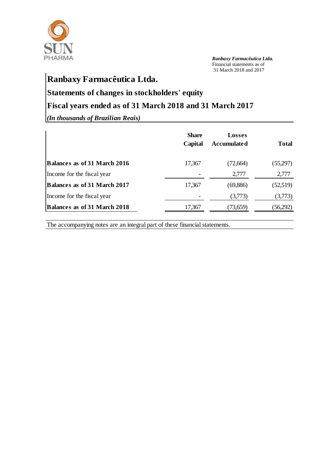

## **Ranbaxy Farmacêutica Ltda.**

## **Statements of changes in stockholders' equity**

## **Fiscal years ended as of 31 March 2018 and 31 March 2017**

*(In thousands of Brazilian Reais)* **1,000**

|                                     | <b>Share</b><br>Capital | <b>Losses</b><br>Accumulated | <b>Total</b> |
|-------------------------------------|-------------------------|------------------------------|--------------|
| <b>Balances as of 31 March 2016</b> | 17,367                  | (72, 664)                    | (55,297)     |
| Income for the fiscal year          |                         | 2,777                        | 2,777        |
| <b>Balances as of 31 March 2017</b> | 17,367                  | (69, 886)                    | (52,519)     |
| Income for the fiscal year          |                         | (3,773)                      | (3,773)      |
| <b>Balances as of 31 March 2018</b> | 17,367                  | (73,659)                     | (56,292)     |

The accompanying notes are an integral part of these financial statements.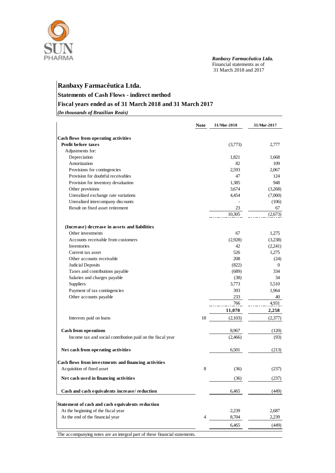

## **Ranbaxy Farmacêutica Ltda.**

## **Statements of Cash Flows - indirect method**

## **Fiscal years ended as of 31 March 2018 and 31 March 2017**

*(In thousands of Brazilian Reais)* **1,000**

|                                                                            | <b>Note</b>    | 31/Mar-2018 | 31/Mar-2017  |
|----------------------------------------------------------------------------|----------------|-------------|--------------|
| Cash flows from operating activities                                       |                |             |              |
| Profit before taxes                                                        |                | (3,773)     | 2,777        |
| Adjustments for:                                                           |                |             |              |
| Depreciation                                                               |                | 1,821       | 1,668        |
| Amortization                                                               |                | 82          | 109          |
| Provisions for contingencies                                               |                | 2,593       | 2,067        |
| Provision for doubtful receivables                                         |                | 47          | 124          |
| Provision for inventory devaluation                                        |                | 1,385       | 948          |
| Other provisions                                                           |                | 3,674       | (3,268)      |
| Unrealized exchange rate variations                                        |                | 4,454       | (7,060)      |
| Unrealized intercompany discounts                                          |                |             | (106)        |
| Result on fixed asset retirement                                           |                | 23          | 67           |
|                                                                            |                | 10,305      | (2,673)      |
| (Increase) decrease in assets and liabilities                              |                |             |              |
| Other investments                                                          |                | 67          | 1,275        |
| Accounts receivable from customers                                         |                | (2,928)     | (3,238)      |
| Inventories                                                                |                | 42          | (2,241)      |
| Current tax asset                                                          |                | 526         | 1,275        |
| Other accounts receivable                                                  |                | 208         | (24)         |
| Judicial Deposits                                                          |                | (822)       | $\mathbf{0}$ |
| Taxes and contributions payable                                            |                | (689)       | 334          |
| Salaries and charges payable                                               |                | (38)        | 34           |
| Suppliers                                                                  |                | 3,773       | 5,510        |
| Payment of tax contingencies                                               |                | 393         | 1,964        |
| Other accounts payable                                                     |                | 233         | 40           |
|                                                                            |                | 766         | 4,931        |
|                                                                            |                | 11,070      | 2,258        |
| Interests paid on loans                                                    | 18             | (2,103)     | (2,377)      |
| <b>Cash from operations</b>                                                |                | 8,967       | (120)        |
| Income tax and social contribution paid on the fiscal year                 |                | (2,466)     | (93)         |
| Net cash from operating activities                                         |                | 6,501       | (213)        |
| Cash flows from investments and financing activities                       |                |             |              |
| Acquisition of fixed asset                                                 | 8              | (36)        | (237)        |
| Net cash used in financing activities                                      |                | (36)        | (237)        |
| Cash and cash equivalents increase/reduction                               |                | 6,465       | (449)        |
| Statement of cash and cash equivalents reduction                           |                |             |              |
| At the beginning of the fiscal year                                        |                | 2,239       | 2,687        |
| At the end of the financial year                                           | $\overline{4}$ | 8,704       | 2,239        |
|                                                                            |                | 6,465       | (449)        |
| The accompanying notes are an integral part of these financial statements. |                |             |              |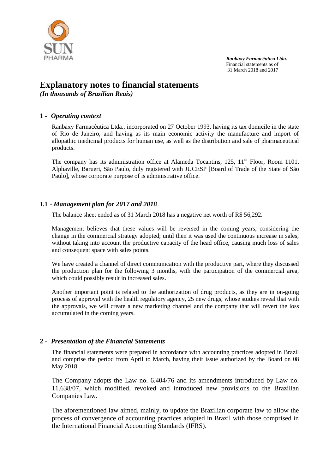

## **Explanatory notes to financial statements**

*(In thousands of Brazilian Reais)*

## **1 -** *Operating context*

Ranbaxy Farmacêutica Ltda., incorporated on 27 October 1993, having its tax domicile in the state of Rio de Janeiro, and having as its main economic activity the manufacture and import of allopathic medicinal products for human use, as well as the distribution and sale of pharmaceutical products.

The company has its administration office at Alameda Tocantins,  $125$ ,  $11<sup>th</sup>$  Floor, Room 1101, Alphaville, Barueri, São Paulo, duly registered with JUCESP [Board of Trade of the State of São Paulo], whose corporate purpose of is administrative office.

## **1.1 -** *Management plan for 2017 and 2018*

The balance sheet ended as of 31 March 2018 has a negative net worth of R\$ 56,292.

Management believes that these values will be reversed in the coming years, considering the change in the commercial strategy adopted; until then it was used the continuous increase in sales, without taking into account the productive capacity of the head office, causing much loss of sales and consequent space with sales points.

We have created a channel of direct communication with the productive part, where they discussed the production plan for the following 3 months, with the participation of the commercial area, which could possibly result in increased sales.

Another important point is related to the authorization of drug products, as they are in on-going process of approval with the health regulatory agency, 25 new drugs, whose studies reveal that with the approvals, we will create a new marketing channel and the company that will revert the loss accumulated in the coming years.

## **2 -** *Presentation of the Financial Statements*

The financial statements were prepared in accordance with accounting practices adopted in Brazil and comprise the period from April to March, having their issue authorized by the Board on 08 May 2018.

The Company adopts the Law no. 6.404/76 and its amendments introduced by Law no. 11.638/07, which modified, revoked and introduced new provisions to the Brazilian Companies Law.

The aforementioned law aimed, mainly, to update the Brazilian corporate law to allow the process of convergence of accounting practices adopted in Brazil with those comprised in the International Financial Accounting Standards (IFRS).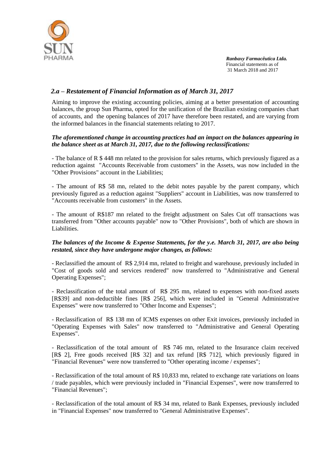

## *2.a – Restatement of Financial Information as of March 31, 2017*

Aiming to improve the existing accounting policies, aiming at a better presentation of accounting balances, the group Sun Pharma, opted for the unification of the Brazilian existing companies chart of accounts, and the opening balances of 2017 have therefore been restated, and are varying from the informed balances in the financial statements relating to 2017.

#### *The aforementioned change in accounting practices had an impact on the balances appearing in the balance sheet as at March 31, 2017, due to the following reclassifications:*

- The balance of R \$ 448 mn related to the provision for sales returns, which previously figured as a reduction against "Accounts Receivable from customers" in the Assets, was now included in the "Other Provisions" account in the Liabilities;

- The amount of R\$ 58 mn, related to the debit notes payable by the parent company, which previously figured as a reduction against "Suppliers" account in Liabilities, was now transferred to "Accounts receivable from customers" in the Assets.

- The amount of R\$187 mn related to the freight adjustment on Sales Cut off transactions was transferred from "Other accounts payable" now to "Other Provisions", both of which are shown in Liabilities.

#### *The balances of the Income & Expense Statements, for the y.e. March 31, 2017, are also being restated, since they have undergone major changes, as follows:*

- Reclassified the amount of R\$ 2,914 mn, related to freight and warehouse, previously included in "Cost of goods sold and services rendered" now transferred to "Administrative and General Operating Expenses";

- Reclassification of the total amount of R\$ 295 mn, related to expenses with non-fixed assets [R\$39] and non-deductible fines [R\$ 256], which were included in "General Administrative Expenses" were now transferred to "Other Income and Expenses";

- Reclassification of R\$ 138 mn of ICMS expenses on other Exit invoices, previously included in "Operating Expenses with Sales" now transferred to "Administrative and General Operating Expenses".

- Reclassification of the total amount of R\$ 746 mn, related to the Insurance claim received [R\$ 2], Free goods received [R\$ 32] and tax refund [R\$ 712], which previously figured in "Financial Revenues" were now transferred to "Other operating income / expenses";

- Reclassification of the total amount of R\$ 10,833 mn, related to exchange rate variations on loans / trade payables, which were previously included in "Financial Expenses", were now transferred to "Financial Revenues";

- Reclassification of the total amount of R\$ 34 mn, related to Bank Expenses, previously included in "Financial Expenses" now transferred to "General Administrative Expenses".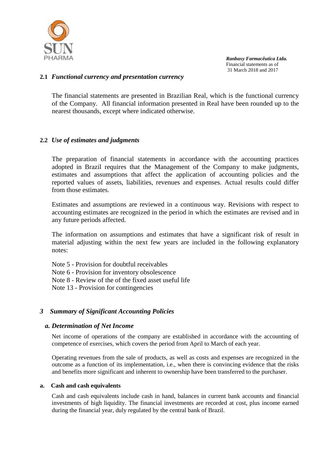

## **2.1** *Functional currency and presentation currency*

The financial statements are presented in Brazilian Real, which is the functional currency of the Company. All financial information presented in Real have been rounded up to the nearest thousands, except where indicated otherwise.

## **2.2** *Use of estimates and judgments*

The preparation of financial statements in accordance with the accounting practices adopted in Brazil requires that the Management of the Company to make judgments, estimates and assumptions that affect the application of accounting policies and the reported values of assets, liabilities, revenues and expenses. Actual results could differ from those estimates.

Estimates and assumptions are reviewed in a continuous way. Revisions with respect to accounting estimates are recognized in the period in which the estimates are revised and in any future periods affected.

The information on assumptions and estimates that have a significant risk of result in material adjusting within the next few years are included in the following explanatory notes:

Note 5 - Provision for doubtful receivables

Note 6 - Provision for inventory obsolescence

Note 8 - Review of the of the fixed asset useful life

Note 13 - Provision for contingencies

## *3 Summary of Significant Accounting Policies*

#### *a. Determination of Net Income*

Net income of operations of the company are established in accordance with the accounting of competence of exercises, which covers the period from April to March of each year.

Operating revenues from the sale of products, as well as costs and expenses are recognized in the outcome as a function of its implementation, i.e., when there is convincing evidence that the risks and benefits more significant and inherent to ownership have been transferred to the purchaser.

#### **a. Cash and cash equivalents**

Cash and cash equivalents include cash in hand, balances in current bank accounts and financial investments of high liquidity. The financial investments are recorded at cost, plus income earned during the financial year, duly regulated by the central bank of Brazil.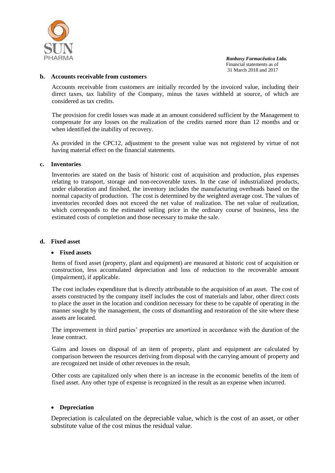

#### **b. Accounts receivable from customers**

Accounts receivable from customers are initially recorded by the invoiced value, including their direct taxes, tax liability of the Company, minus the taxes withheld at source, of which are considered as tax credits.

The provision for credit losses was made at an amount considered sufficient by the Management to compensate for any losses on the realization of the credits earned more than 12 months and or when identified the inability of recovery.

As provided in the CPC12, adjustment to the present value was not registered by virtue of not having material effect on the financial statements.

#### **c. Inventories**

Inventories are stated on the basis of historic cost of acquisition and production, plus expenses relating to transport, storage and non-recoverable taxes. In the case of industrialized products, under elaboration and finished, the inventory includes the manufacturing overheads based on the normal capacity of production. The cost is determined by the weighted average cost. The values of inventories recorded does not exceed the net value of realization. The net value of realization, which corresponds to the estimated selling price in the ordinary course of business, less the estimated costs of completion and those necessary to make the sale.

#### **d. Fixed asset**

#### **Fixed assets**

Items of fixed asset (property, plant and equipment) are measured at historic cost of acquisition or construction, less accumulated depreciation and loss of reduction to the recoverable amount (impairment), if applicable.

The cost includes expenditure that is directly attributable to the acquisition of an asset. The cost of assets constructed by the company itself includes the cost of materials and labor, other direct costs to place the asset in the location and condition necessary for these to be capable of operating in the manner sought by the management, the costs of dismantling and restoration of the site where these assets are located.

The improvement in third parties' properties are amortized in accordance with the duration of the lease contract.

Gains and losses on disposal of an item of property, plant and equipment are calculated by comparison between the resources deriving from disposal with the carrying amount of property and are recognized net inside of other revenues in the result.

Other costs are capitalized only when there is an increase in the economic benefits of the item of fixed asset. Any other type of expense is recognized in the result as an expense when incurred.

#### **Depreciation**

Depreciation is calculated on the depreciable value, which is the cost of an asset, or other substitute value of the cost minus the residual value.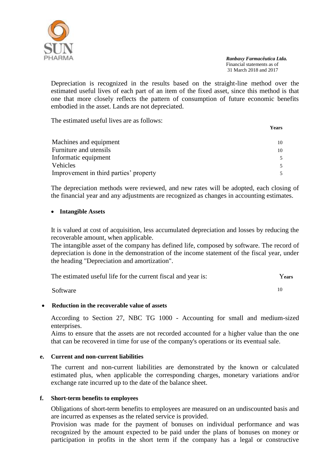

Depreciation is recognized in the results based on the straight-line method over the estimated useful lives of each part of an item of the fixed asset, since this method is that one that more closely reflects the pattern of consumption of future economic benefits embodied in the asset. Lands are not depreciated.

The estimated useful lives are as follows:

|                                        | <b>Years</b> |
|----------------------------------------|--------------|
| Machines and equipment                 | 10           |
| Furniture and utensils                 | 10           |
| Informatic equipment                   |              |
| Vehicles                               |              |
| Improvement in third parties' property |              |

The depreciation methods were reviewed, and new rates will be adopted, each closing of the financial year and any adjustments are recognized as changes in accounting estimates.

## **Intangible Assets**

It is valued at cost of acquisition, less accumulated depreciation and losses by reducing the recoverable amount, when applicable.

The intangible asset of the company has defined life, composed by software. The record of depreciation is done in the demonstration of the income statement of the fiscal year, under the heading "Depreciation and amortization".

| The estimated useful life for the current fiscal and year is: | Years |
|---------------------------------------------------------------|-------|
| Software                                                      | 10    |

## **Reduction in the recoverable value of assets**

According to Section 27, NBC TG 1000 - Accounting for small and medium-sized enterprises.

Aims to ensure that the assets are not recorded accounted for a higher value than the one that can be recovered in time for use of the company's operations or its eventual sale.

## **e. Current and non-current liabilities**

The current and non-current liabilities are demonstrated by the known or calculated estimated plus, when applicable the corresponding charges, monetary variations and/or exchange rate incurred up to the date of the balance sheet.

## **f. Short-term benefits to employees**

Obligations of short-term benefits to employees are measured on an undiscounted basis and are incurred as expenses as the related service is provided.

Provision was made for the payment of bonuses on individual performance and was recognized by the amount expected to be paid under the plans of bonuses on money or participation in profits in the short term if the company has a legal or constructive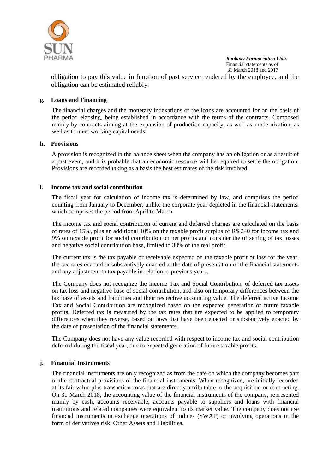

obligation to pay this value in function of past service rendered by the employee, and the obligation can be estimated reliably.

#### **g. Loans and Financing**

The financial charges and the monetary indexations of the loans are accounted for on the basis of the period elapsing, being established in accordance with the terms of the contracts. Composed mainly by contracts aiming at the expansion of production capacity, as well as modernization, as well as to meet working capital needs.

#### **h. Provisions**

A provision is recognized in the balance sheet when the company has an obligation or as a result of a past event, and it is probable that an economic resource will be required to settle the obligation. Provisions are recorded taking as a basis the best estimates of the risk involved.

#### **i. Income tax and social contribution**

The fiscal year for calculation of income tax is determined by law, and comprises the period counting from January to December, unlike the corporate year depicted in the financial statements, which comprises the period from April to March.

The income tax and social contribution of current and deferred charges are calculated on the basis of rates of 15%, plus an additional 10% on the taxable profit surplus of R\$ 240 for income tax and 9% on taxable profit for social contribution on net profits and consider the offsetting of tax losses and negative social contribution base, limited to 30% of the real profit.

The current tax is the tax payable or receivable expected on the taxable profit or loss for the year, the tax rates enacted or substantively enacted at the date of presentation of the financial statements and any adjustment to tax payable in relation to previous years.

The Company does not recognize the Income Tax and Social Contribution, of deferred tax assets on tax loss and negative base of social contribution, and also on temporary differences between the tax base of assets and liabilities and their respective accounting value. The deferred active Income Tax and Social Contribution are recognized based on the expected generation of future taxable profits. Deferred tax is measured by the tax rates that are expected to be applied to temporary differences when they reverse, based on laws that have been enacted or substantively enacted by the date of presentation of the financial statements.

The Company does not have any value recorded with respect to income tax and social contribution deferred during the fiscal year, due to expected generation of future taxable profits.

## **j. Financial Instruments**

The financial instruments are only recognized as from the date on which the company becomes part of the contractual provisions of the financial instruments. When recognized, are initially recorded at its fair value plus transaction costs that are directly attributable to the acquisition or contracting. On 31 March 2018, the accounting value of the financial instruments of the company, represented mainly by cash, accounts receivable, accounts payable to suppliers and loans with financial institutions and related companies were equivalent to its market value. The company does not use financial instruments in exchange operations of indices (SWAP) or involving operations in the form of derivatives risk. Other Assets and Liabilities.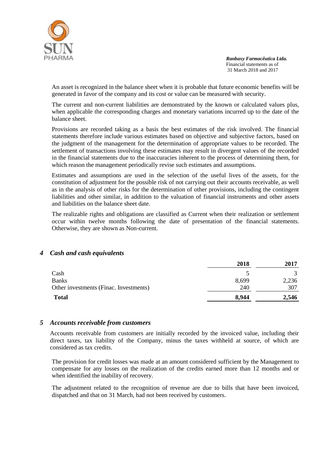

An asset is recognized in the balance sheet when it is probable that future economic benefits will be generated in favor of the company and its cost or value can be measured with security.

The current and non-current liabilities are demonstrated by the known or calculated values plus, when applicable the corresponding charges and monetary variations incurred up to the date of the balance sheet.

Provisions are recorded taking as a basis the best estimates of the risk involved. The financial statements therefore include various estimates based on objective and subjective factors, based on the judgment of the management for the determination of appropriate values to be recorded. The settlement of transactions involving these estimates may result in divergent values of the recorded in the financial statements due to the inaccuracies inherent to the process of determining them, for which reason the management periodically revise such estimates and assumptions.

Estimates and assumptions are used in the selection of the useful lives of the assets, for the constitution of adjustment for the possible risk of not carrying out their accounts receivable, as well as in the analysis of other risks for the determination of other provisions, including the contingent liabilities and other similar, in addition to the valuation of financial instruments and other assets and liabilities on the balance sheet date.

The realizable rights and obligations are classified as Current when their realization or settlement occur within twelve months following the date of presentation of the financial statements. Otherwise, they are shown as Non-current.

#### *4 Cash and cash equivalents*

| <b>Total</b>                           | 8,944 | 2,546 |
|----------------------------------------|-------|-------|
| Other investments (Finac. Investments) | 240   | 307   |
| <b>Banks</b>                           | 8,699 | 2,236 |
| Cash                                   |       |       |
|                                        | 2018  | 2017  |

#### *5 Accounts receivable from customers*

Accounts receivable from customers are initially recorded by the invoiced value, including their direct taxes, tax liability of the Company, minus the taxes withheld at source, of which are considered as tax credits.

The provision for credit losses was made at an amount considered sufficient by the Management to compensate for any losses on the realization of the credits earned more than 12 months and or when identified the inability of recovery.

The adjustment related to the recognition of revenue are due to bills that have been invoiced, dispatched and that on 31 March, had not been received by customers.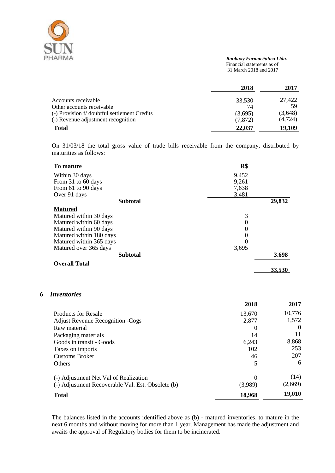

#### *Ranbaxy Farmacêutica Ltda.* Financial statements as of

31 March 2018 and 2017

|                                              | 2018    | 2017     |
|----------------------------------------------|---------|----------|
| Accounts receivable                          | 33,530  | 27.422   |
| Other accounts receivable                    | 74      | 59       |
| (-) Provision f/ doubtful settlement Credits | (3,695) | (3,648)  |
| (-) Revenue adjustment recognition           | (7.872) | (4, 724) |
| <b>Total</b>                                 | 22,037  | 19,109   |

On 31/03/18 the total gross value of trade bills receivable from the company, distributed by maturities as follows:

| To mature               | R\$              |        |
|-------------------------|------------------|--------|
| Within 30 days          | 9,452            |        |
| From 31 to 60 days      | 9,261            |        |
| From 61 to 90 days      | 7,638            |        |
| Over 91 days            | 3,481            |        |
| <b>Subtotal</b>         |                  | 29,832 |
| <b>Matured</b>          |                  |        |
| Matured within 30 days  | 3                |        |
| Matured within 60 days  | 0                |        |
| Matured within 90 days  | $\theta$         |        |
| Matured within 180 days | $\boldsymbol{0}$ |        |
| Matured within 365 days | 0                |        |
| Matured over 365 days   | 3,695            |        |
| <b>Subtotal</b>         |                  | 3,698  |
| <b>Overall Total</b>    |                  |        |
|                         |                  | 33,530 |

## *6 Inventories*

|                                                   | 2018     | 2017     |
|---------------------------------------------------|----------|----------|
| <b>Products for Resale</b>                        | 13,670   | 10,776   |
| <b>Adjust Revenue Recognition -Cogs</b>           | 2,877    | 1,572    |
| Raw material                                      | $\Omega$ | $\theta$ |
| Packaging materials                               | 14       | 11       |
| Goods in transit - Goods                          | 6,243    | 8,868    |
| Taxes on imports                                  | 102      | 253      |
| <b>Customs Broker</b>                             | 46       | 207      |
| <b>Others</b>                                     | 5        | 6        |
| (-) Adjustment Net Val of Realization             | $\theta$ | (14)     |
| (-) Adjustment Recoverable Val. Est. Obsolete (b) | (3,989)  | (2,669)  |
| <b>Total</b>                                      | 18,968   | 19,010   |

The balances listed in the accounts identified above as (b) - matured inventories, to mature in the next 6 months and without moving for more than 1 year. Management has made the adjustment and awaits the approval of Regulatory bodies for them to be incinerated.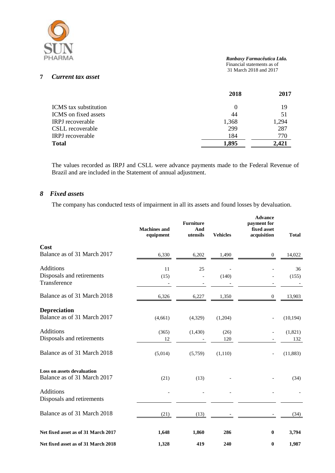

#### *Ranbaxy Farmacêutica Ltda.*

 Financial statements as of 31 March 2018 and 2017

## **7** *Current tax asset*

|                              | 2018  | 2017  |
|------------------------------|-------|-------|
| <b>ICMS</b> tax substitution |       | 19    |
| ICMS on fixed assets         | 44    | 51    |
| <b>IRPJ</b> recoverable      | 1,368 | 1,294 |
| CSLL recoverable             | 299   | 287   |
| <b>IRPJ</b> recoverable      | 184   | 770   |
| <b>Total</b>                 | 1,895 | 2.421 |

The values recorded as IRPJ and CSLL were advance payments made to the Federal Revenue of Brazil and are included in the Statement of annual adjustment.

#### *8 Fixed assets*

The company has conducted tests of impairment in all its assets and found losses by devaluation.

|                                                               | <b>Machines</b> and<br>equipment | <b>Furniture</b><br>And<br>utensils | <b>Vehicles</b> | <b>Advance</b><br>payment for<br>fixed asset<br>acquisition | <b>Total</b>   |
|---------------------------------------------------------------|----------------------------------|-------------------------------------|-----------------|-------------------------------------------------------------|----------------|
| Cost<br>Balance as of 31 March 2017                           | 6,330                            | 6,202                               | 1,490           | $\boldsymbol{0}$                                            | 14,022         |
| <b>Additions</b><br>Disposals and retirements<br>Transference | 11<br>(15)                       | 25                                  | (140)           |                                                             | 36<br>(155)    |
| Balance as of 31 March 2018                                   | 6,326                            | 6,227                               | 1,350           | $\boldsymbol{0}$                                            | 13,903         |
| <b>Depreciation</b><br>Balance as of 31 March 2017            | (4,661)                          | (4,329)                             | (1,204)         |                                                             | (10, 194)      |
| Additions<br>Disposals and retirements                        | (365)<br>12                      | (1, 430)                            | (26)<br>120     |                                                             | (1,821)<br>132 |
| Balance as of 31 March 2018                                   | (5,014)                          | (5,759)                             | (1,110)         |                                                             | (11, 883)      |
| Loss on assets devaluation<br>Balance as of 31 March 2017     | (21)                             | (13)                                |                 |                                                             | (34)           |
| <b>Additions</b><br>Disposals and retirements                 |                                  |                                     |                 |                                                             |                |
| Balance as of 31 March 2018                                   | (21)                             | (13)                                |                 |                                                             | (34)           |
| Net fixed asset as of 31 March 2017                           | 1,648                            | 1,860                               | 286             | $\bf{0}$                                                    | 3,794          |
| Net fixed asset as of 31 March 2018                           | 1,328                            | 419                                 | 240             | $\bf{0}$                                                    | 1,987          |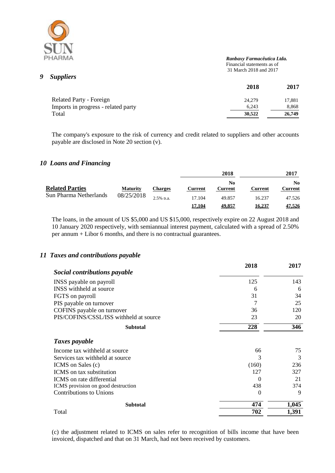

## *9 Suppliers*

 *Ranbaxy Farmacêutica Ltda.* Financial statements as of 31 March 2018 and 2017

|                                     | 2018   | 2017   |
|-------------------------------------|--------|--------|
| <b>Related Party - Foreign</b>      | 24,279 | 17,881 |
| Imports in progress - related party | 6.243  | 8,868  |
| Total                               | 30.522 | 26,749 |

The company's exposure to the risk of currency and credit related to suppliers and other accounts payable are disclosed in Note 20 section (v).

## *10 Loans and Financing*

|                                                                                   |                |                                         |               | 2018          |        | 2017 |
|-----------------------------------------------------------------------------------|----------------|-----------------------------------------|---------------|---------------|--------|------|
| <b>Related Parties</b><br><b>Maturity</b><br>Sun Pharma Netherlands<br>08/25/2018 | <b>Charges</b> | No.<br><b>Current</b><br><b>Current</b> | Current       | No<br>Current |        |      |
|                                                                                   | $2.5%$ p.a.    | 17.104                                  | 49.857        | 16.237        | 47.526 |      |
|                                                                                   |                | 17,104                                  | <u>49.857</u> | 16,237        | 47,526 |      |

The loans, in the amount of US \$5,000 and US \$15,000, respectively expire on 22 August 2018 and 10 January 2020 respectively, with semiannual interest payment, calculated with a spread of 2.50% per annum + Libor 6 months, and there is no contractual guarantees.

## *11 Taxes and contributions payable*

|                                        | 2018     | 2017  |
|----------------------------------------|----------|-------|
| Social contributions payable           |          |       |
| INSS payable on payroll                | 125      | 143   |
| INSS withheld at source.               | 6        | 6     |
| FGTS on payroll                        | 31       | 34    |
| PIS payable on turnover                | 7        | 25    |
| COFINS payable on turnover             | 36       | 120   |
| PIS/COFINS/CSSL/ISS withheld at source | 23       | 20    |
| <b>Subtotal</b>                        | 228      | 346   |
| Taxes payable                          |          |       |
| Income tax withheld at source.         | 66       | 75    |
| Services tax withheld at source.       | 3        | 3     |
| ICMS on Sales (c)                      | (160)    | 236   |
| ICMS on tax substitution               | 127      | 327   |
| ICMS on rate differential              | 0        | 21    |
| ICMS provision on good destruction     | 438      | 374   |
| <b>Contributions to Unions</b>         | $\Omega$ | 9     |
| <b>Subtotal</b>                        | 474      | 1,045 |
| Total                                  | 702      | 1,391 |

(c) the adjustment related to ICMS on sales refer to recognition of bills income that have been invoiced, dispatched and that on 31 March, had not been received by customers.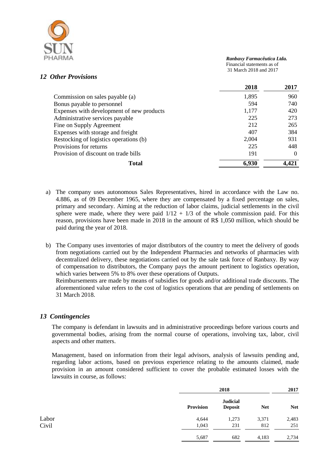

## *12 Other Provisions*

|                                           | 2018  | 2017     |
|-------------------------------------------|-------|----------|
| Commission on sales payable (a)           | 1,895 | 960      |
| Bonus payable to personnel                | 594   | 740      |
| Expenses with development of new products | 1,177 | 420      |
| Administrative services payable           | 225   | 273      |
| Fine on Supply Agreement                  | 212   | 265      |
| Expenses with storage and freight         | 407   | 384      |
| Restocking of logistics operations (b)    | 2,004 | 931      |
| Provisions for returns                    | 225   | 448      |
| Provision of discount on trade bills      | 191   | $\Omega$ |
| Total                                     | 6,930 |          |

a) The company uses autonomous Sales Representatives, hired in accordance with the Law no. 4.886, as of 09 December 1965, where they are compensated by a fixed percentage on sales, primary and secondary. Aiming at the reduction of labor claims, judicial settlements in the civil sphere were made, where they were paid  $1/12 + 1/3$  of the whole commission paid. For this reason, provisions have been made in 2018 in the amount of R\$ 1,050 million, which should be paid during the year of 2018.

b) The Company uses inventories of major distributors of the country to meet the delivery of goods from negotiations carried out by the Independent Pharmacies and networks of pharmacies with decentralized delivery, these negotiations carried out by the sale task force of Ranbaxy. By way of compensation to distributors, the Company pays the amount pertinent to logistics operation, which varies between 5% to 8% over these operations of Outputs.

Reimbursements are made by means of subsidies for goods and/or additional trade discounts. The aforementioned value refers to the cost of logistics operations that are pending of settlements on 31 March 2018.

## *13 Contingencies*

The company is defendant in lawsuits and in administrative proceedings before various courts and governmental bodies, arising from the normal course of operations, involving tax, labor, civil aspects and other matters.

Management, based on information from their legal advisors, analysis of lawsuits pending and, regarding labor actions, based on previous experience relating to the amounts claimed, made provision in an amount considered sufficient to cover the probable estimated losses with the lawsuits in course, as follows:

|       |                  | 2018                              |            | 2017       |
|-------|------------------|-----------------------------------|------------|------------|
|       | <b>Provision</b> | <b>Judicial</b><br><b>Deposit</b> | <b>Net</b> | <b>Net</b> |
| Labor | 4,644            | 1,273                             | 3,371      | 2,483      |
| Civil | 1,043            | 231                               | 812        | 251        |
|       | 5,687            | 682                               | 4,183      | 2,734      |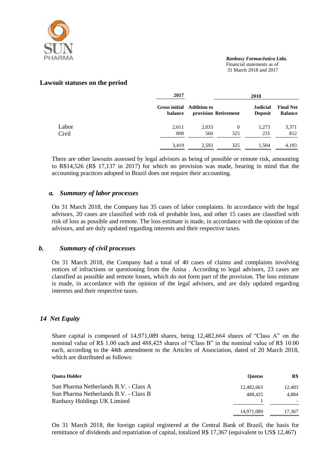

#### **Lawsuit statuses on the period**

|       | 2017                                        |       |                      | 2018                              |                                    |
|-------|---------------------------------------------|-------|----------------------|-----------------------------------|------------------------------------|
|       | <b>Gross initial</b> Addition to<br>balance |       | provision Retirement | <b>Judicial</b><br><b>Deposit</b> | <b>Final Net</b><br><b>Balance</b> |
| Labor | 2,611                                       | 2,033 | $\theta$             | 1,273                             | 3,371                              |
| Civil | 808                                         | 560   | 325                  | 231                               | 812                                |
|       | 3,419                                       | 2.593 | 325                  | 1,504                             | 4,183                              |

There are other lawsuits assessed by legal advisors as being of possible or remote risk, amounting to R\$14,526 (R\$ 17,137 in 2017) for which no provision was made, bearing in mind that the accounting practices adopted in Brazil does not require their accounting.

#### *a. Summary of labor processes*

On 31 March 2018, the Company has 35 cases of labor complaints. In accordance with the legal advisors, 20 cases are classified with risk of probable loss, and other 15 cases are classified with risk of loss as possible and remote. The loss estimate is made, in accordance with the opinion of the advisors, and are duly updated regarding interests and their respective taxes.

## *b. Summary of civil processes*

On 31 March 2018, the Company had a total of 40 cases of claims and complaints involving notices of infractions or questioning from the Anisa . According to legal advisors, 23 cases are classified as possible and remote losses, which do not form part of the provision. The loss estimate is made, in accordance with the opinion of the legal advisors, and are duly updated regarding interests and their respective taxes.

## *14 Net Equity*

Share capital is composed of 14,971,089 shares, being 12,482,664 shares of "Class A" on the nominal value of R\$ 1.00 each and 488,425 shares of "Class B" in the nominal value of R\$ 10.00 each, according to the 44th amendment to the Articles of Association, dated of 20 March 2018, which are distributed as follows:

| <b>Ouota Holder</b>                   | <b>Ouotas</b> | R\$    |
|---------------------------------------|---------------|--------|
| Sun Pharma Netherlands B.V. - Class A | 12,482,663    | 12.483 |
| Sun Pharma Netherlands B.V. - Class B | 488.425       | 4.884  |
| Ranbaxy Holdings UK Limited           |               |        |
|                                       | 14,971,089    | 17,367 |

On 31 March 2018, the foreign capital registered at the Central Bank of Brazil, the basis for remittance of dividends and repatriation of capital, totalized R\$ 17,367 (equivalent to US\$ 12,467)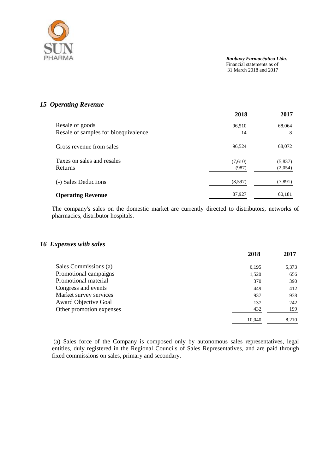

## *15 Operating Revenue*

|                                      | 2018    | 2017    |
|--------------------------------------|---------|---------|
| Resale of goods                      | 96,510  | 68,064  |
| Resale of samples for bioequivalence | 14      | 8       |
| Gross revenue from sales             | 96,524  | 68,072  |
| Taxes on sales and resales           | (7,610) | (5,837) |
| Returns                              | (987)   | (2,054) |
| (-) Sales Deductions                 | (8,597) | (7,891) |
| <b>Operating Revenue</b>             | 87,927  | 60,181  |

The company's sales on the domestic market are currently directed to distributors, networks of pharmacies, distributor hospitals.

#### *16 Expenses with sales*

|                          | 2018   | 2017  |
|--------------------------|--------|-------|
| Sales Commissions (a)    | 6,195  | 5,373 |
| Promotional campaigns    | 1,520  | 656   |
| Promotional material     | 370    | 390   |
| Congress and events      | 449    | 412   |
| Market survey services   | 937    | 938   |
| Award Objective Goal     | 137    | 242   |
| Other promotion expenses | 432    | 199   |
|                          | 10.040 | 8,210 |

(a) Sales force of the Company is composed only by autonomous sales representatives, legal entities, duly registered in the Regional Councils of Sales Representatives, and are paid through fixed commissions on sales, primary and secondary.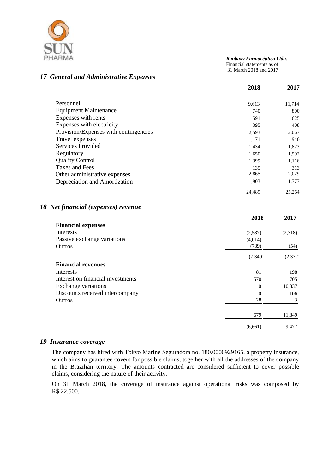

#### *Ranbaxy Farmacêutica Ltda.*

 Financial statements as of 31 March 2018 and 2017

## *17 General and Administrative Expenses*

|                                       | 2018   | 2017   |
|---------------------------------------|--------|--------|
| Personnel                             | 9,613  | 11,714 |
| <b>Equipment Maintenance</b>          | 740    | 800    |
| Expenses with rents                   | 591    | 625    |
| Expenses with electricity             | 395    | 408    |
| Provision/Expenses with contingencies | 2,593  | 2,067  |
| Travel expenses                       | 1,171  | 940    |
| Services Provided                     | 1,434  | 1,873  |
| Regulatory                            | 1,650  | 1,592  |
| <b>Quality Control</b>                | 1,399  | 1,116  |
| Taxes and Fees                        | 135    | 313    |
| Other administrative expenses         | 2,865  | 2,029  |
| Depreciation and Amortization         | 1,903  | 1,777  |
|                                       | 24,489 | 25,254 |

## *18 Net financial (expenses) revenue*

|                                   | 2018           | 2017    |
|-----------------------------------|----------------|---------|
| <b>Financial expenses</b>         |                |         |
| Interests                         | (2,587)        | (2,318) |
| Passive exchange variations       | (4,014)        |         |
| Outros                            | (739)          | (54)    |
|                                   | (7, 340)       | (2.372) |
| <b>Financial revenues</b>         |                |         |
| Interests                         | 81             | 198     |
| Interest on financial investments | 570            | 705     |
| Exchange variations               | $\theta$       | 10,837  |
| Discounts received intercompany   | $\overline{0}$ | 106     |
| Outros                            | 28             | 3       |
|                                   | 679            | 11,849  |
|                                   | (6,661)        | 9,477   |

## *19 Insurance coverage*

The company has hired with Tokyo Marine Seguradora no. 180.0000929165, a property insurance, which aims to guarantee covers for possible claims, together with all the addresses of the company in the Brazilian territory. The amounts contracted are considered sufficient to cover possible claims, considering the nature of their activity.

On 31 March 2018, the coverage of insurance against operational risks was composed by R\$ 22,500.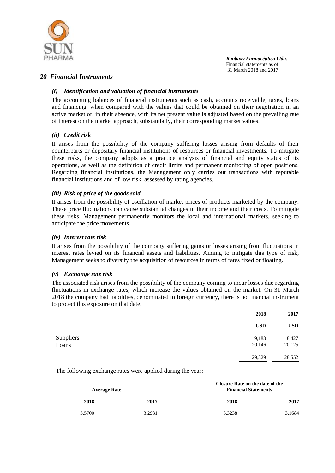

## *20 Financial Instruments*

## *(i) Identification and valuation of financial instruments*

The accounting balances of financial instruments such as cash, accounts receivable, taxes, loans and financing, when compared with the values that could be obtained on their negotiation in an active market or, in their absence, with its net present value is adjusted based on the prevailing rate of interest on the market approach, substantially, their corresponding market values.

#### *(ii) Credit risk*

It arises from the possibility of the company suffering losses arising from defaults of their counterparts or depositary financial institutions of resources or financial investments. To mitigate these risks, the company adopts as a practice analysis of financial and equity status of its operations, as well as the definition of credit limits and permanent monitoring of open positions. Regarding financial institutions, the Management only carries out transactions with reputable financial institutions and of low risk, assessed by rating agencies.

#### *(iii) Risk of price of the goods sold*

It arises from the possibility of oscillation of market prices of products marketed by the company. These price fluctuations can cause substantial changes in their income and their costs. To mitigate these risks, Management permanently monitors the local and international markets, seeking to anticipate the price movements.

#### *(iv) Interest rate risk*

It arises from the possibility of the company suffering gains or losses arising from fluctuations in interest rates levied on its financial assets and liabilities. Aiming to mitigate this type of risk, Management seeks to diversify the acquisition of resources in terms of rates fixed or floating.

#### *(v) Exchange rate risk*

The associated risk arises from the possibility of the company coming to incur losses due regarding fluctuations in exchange rates, which increase the values obtained on the market. On 31 March 2018 the company had liabilities, denominated in foreign currency, there is no financial instrument to protect this exposure on that date.

| 2018       | 2017       |
|------------|------------|
| <b>USD</b> | <b>USD</b> |
| 9,183      | 8,427      |
| 20,146     | 20,125     |
| 29,329     | 28,552     |
|            |            |

The following exchange rates were applied during the year:

| <b>Average Rate</b> |        |        | Closure Rate on the date of the<br><b>Financial Statements</b> |  |
|---------------------|--------|--------|----------------------------------------------------------------|--|
| 2018                | 2017   | 2018   | 2017                                                           |  |
| 3.5700              | 3.2981 | 3.3238 | 3.1684                                                         |  |